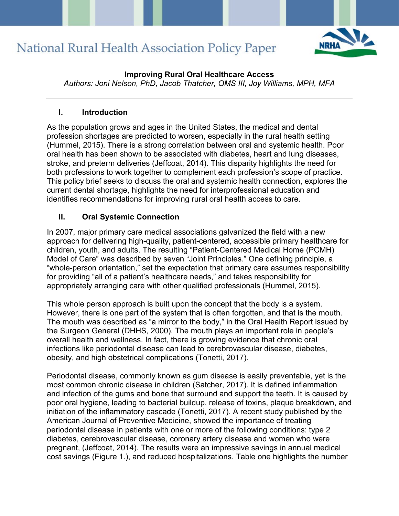

### **Improving Rural Oral Healthcare Access**

*Authors: Joni Nelson, PhD, Jacob Thatcher, OMS III, Joy Williams, MPH, MFA*

### **I. Introduction**

As the population grows and ages in the United States, the medical and dental profession shortages are predicted to worsen, especially in the rural health setting (Hummel, 2015). There is a strong correlation between oral and systemic health. Poor oral health has been shown to be associated with diabetes, heart and lung diseases, stroke, and preterm deliveries (Jeffcoat, 2014). This disparity highlights the need for both professions to work together to complement each profession's scope of practice. This policy brief seeks to discuss the oral and systemic health connection, explores the current dental shortage, highlights the need for interprofessional education and identifies recommendations for improving rural oral health access to care.

## **II. Oral Systemic Connection**

In 2007, major primary care medical associations galvanized the field with a new approach for delivering high-quality, patient-centered, accessible primary healthcare for children, youth, and adults. The resulting "Patient-Centered Medical Home (PCMH) Model of Care" was described by seven "Joint Principles." One defining principle, a "whole-person orientation," set the expectation that primary care assumes responsibility for providing "all of a patient's healthcare needs," and takes responsibility for appropriately arranging care with other qualified professionals (Hummel, 2015).

This whole person approach is built upon the concept that the body is a system. However, there is one part of the system that is often forgotten, and that is the mouth. The mouth was described as "a mirror to the body," in the Oral Health Report issued by the Surgeon General (DHHS, 2000). The mouth plays an important role in people's overall health and wellness. In fact, there is growing evidence that chronic oral infections like periodontal disease can lead to cerebrovascular disease, diabetes, obesity, and high obstetrical complications (Tonetti, 2017).

Periodontal disease, commonly known as gum disease is easily preventable, yet is the most common chronic disease in children (Satcher, 2017). It is defined inflammation and infection of the gums and bone that surround and support the teeth. It is caused by poor oral hygiene, leading to bacterial buildup, release of toxins, plaque breakdown, and initiation of the inflammatory cascade (Tonetti, 2017). A recent study published by the American Journal of Preventive Medicine, showed the importance of treating periodontal disease in patients with one or more of the following conditions: type 2 diabetes, cerebrovascular disease, coronary artery disease and women who were pregnant, (Jeffcoat, 2014). The results were an impressive savings in annual medical cost savings (Figure 1.), and reduced hospitalizations. Table one highlights the number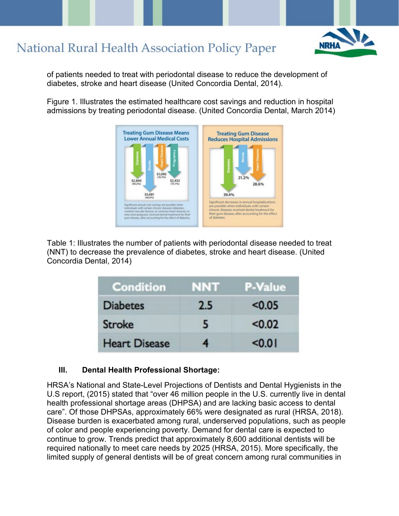

of patients needed to treat with periodontal disease to reduce the development of diabetes, stroke and heart disease (United Concordia Dental, 2014).

Figure 1. Illustrates the estimated healthcare cost savings and reduction in hospital admissions by treating periodontal disease. (United Concordia Dental, March 2014)



Table 1: Illustrates the number of patients with periodontal disease needed to treat (NNT) to decrease the prevalence of diabetes, stroke and heart disease. (United Concordia Dental, 2014)

| <b>Condition</b>     | NNT | <b>P-Value</b> |
|----------------------|-----|----------------|
| <b>Diabetes</b>      | 2.5 | < 0.05         |
| <b>Stroke</b>        | 5   | < 0.02         |
| <b>Heart Disease</b> | 4   | < 0.01         |

### **III. Dental Health Professional Shortage:**

HRSA's National and State-Level Projections of Dentists and Dental Hygienists in the U.S report, (2015) stated that "over 46 million people in the U.S. currently live in dental health professional shortage areas (DHPSA) and are lacking basic access to dental care". Of those DHPSAs, approximately 66% were designated as rural (HRSA, 2018). Disease burden is exacerbated among rural, underserved populations, such as people of color and people experiencing poverty. Demand for dental care is expected to continue to grow. Trends predict that approximately 8,600 additional dentists will be required nationally to meet care needs by 2025 (HRSA, 2015). More specifically, the limited supply of general dentists will be of great concern among rural communities in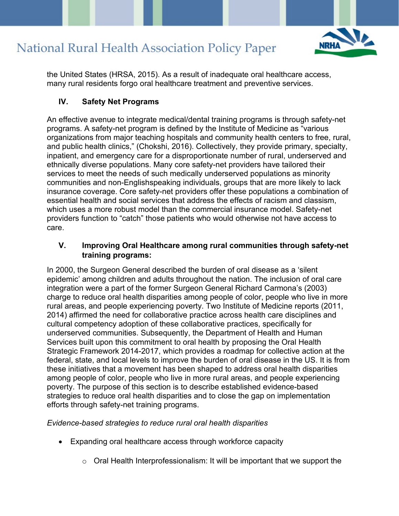

the United States (HRSA, 2015). As a result of inadequate oral healthcare access, many rural residents forgo oral healthcare treatment and preventive services.

### **IV. Safety Net Programs**

An effective avenue to integrate medical/dental training programs is through safety-net programs. A safety-net program is defined by the Institute of Medicine as "various organizations from major teaching hospitals and community health centers to free, rural, and public health clinics," (Chokshi, 2016). Collectively, they provide primary, specialty, inpatient, and emergency care for a disproportionate number of rural, underserved and ethnically diverse populations. Many core safety-net providers have tailored their services to meet the needs of such medically underserved populations as minority communities and non-Englishspeaking individuals, groups that are more likely to lack insurance coverage. Core safety-net providers offer these populations a combination of essential health and social services that address the effects of racism and classism, which uses a more robust model than the commercial insurance model. Safety-net providers function to "catch" those patients who would otherwise not have access to care.

### **V. Improving Oral Healthcare among rural communities through safety-net training programs:**

In 2000, the Surgeon General described the burden of oral disease as a 'silent epidemic' among children and adults throughout the nation. The inclusion of oral care integration were a part of the former Surgeon General Richard Carmona's (2003) charge to reduce oral health disparities among people of color, people who live in more rural areas, and people experiencing poverty. Two Institute of Medicine reports (2011, 2014) affirmed the need for collaborative practice across health care disciplines and cultural competency adoption of these collaborative practices, specifically for underserved communities. Subsequently, the Department of Health and Human Services built upon this commitment to oral health by proposing the Oral Health Strategic Framework 2014-2017, which provides a roadmap for collective action at the federal, state, and local levels to improve the burden of oral disease in the US. It is from these initiatives that a movement has been shaped to address oral health disparities among people of color, people who live in more rural areas, and people experiencing poverty. The purpose of this section is to describe established evidence-based strategies to reduce oral health disparities and to close the gap on implementation efforts through safety-net training programs.

#### *Evidence-based strategies to reduce rural oral health disparities*

- Expanding oral healthcare access through workforce capacity
	- $\circ$  Oral Health Interprofessionalism: It will be important that we support the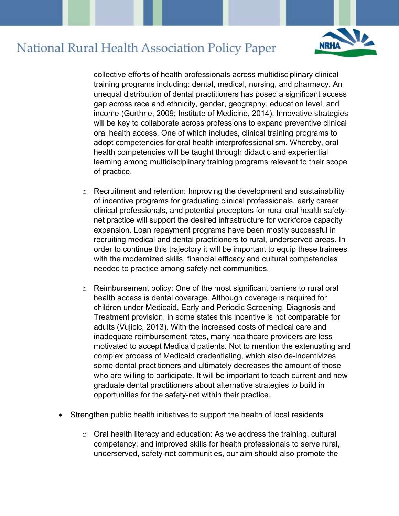

collective efforts of health professionals across multidisciplinary clinical training programs including: dental, medical, nursing, and pharmacy. An unequal distribution of dental practitioners has posed a significant access gap across race and ethnicity, gender, geography, education level, and income (Gurthrie, 2009; Institute of Medicine, 2014). Innovative strategies will be key to collaborate across professions to expand preventive clinical oral health access. One of which includes, clinical training programs to adopt competencies for oral health interprofessionalism. Whereby, oral health competencies will be taught through didactic and experiential learning among multidisciplinary training programs relevant to their scope of practice.

- $\circ$  Recruitment and retention: Improving the development and sustainability of incentive programs for graduating clinical professionals, early career clinical professionals, and potential preceptors for rural oral health safetynet practice will support the desired infrastructure for workforce capacity expansion. Loan repayment programs have been mostly successful in recruiting medical and dental practitioners to rural, underserved areas. In order to continue this trajectory it will be important to equip these trainees with the modernized skills, financial efficacy and cultural competencies needed to practice among safety-net communities.
- o Reimbursement policy: One of the most significant barriers to rural oral health access is dental coverage. Although coverage is required for children under Medicaid, Early and Periodic Screening, Diagnosis and Treatment provision, in some states this incentive is not comparable for adults (Vujicic, 2013). With the increased costs of medical care and inadequate reimbursement rates, many healthcare providers are less motivated to accept Medicaid patients. Not to mention the extenuating and complex process of Medicaid credentialing, which also de-incentivizes some dental practitioners and ultimately decreases the amount of those who are willing to participate. It will be important to teach current and new graduate dental practitioners about alternative strategies to build in opportunities for the safety-net within their practice.
- Strengthen public health initiatives to support the health of local residents
	- $\circ$  Oral health literacy and education: As we address the training, cultural competency, and improved skills for health professionals to serve rural, underserved, safety-net communities, our aim should also promote the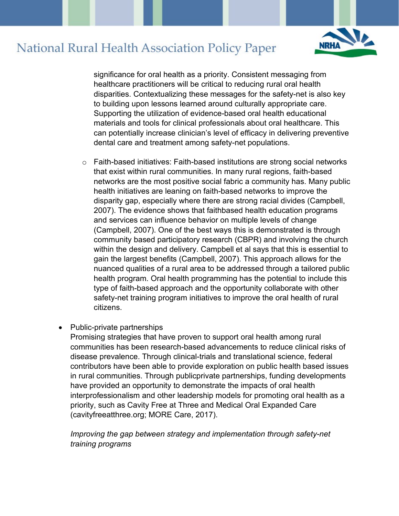

significance for oral health as a priority. Consistent messaging from healthcare practitioners will be critical to reducing rural oral health disparities. Contextualizing these messages for the safety-net is also key to building upon lessons learned around culturally appropriate care. Supporting the utilization of evidence-based oral health educational materials and tools for clinical professionals about oral healthcare. This can potentially increase clinician's level of efficacy in delivering preventive dental care and treatment among safety-net populations.

- $\circ$  Faith-based initiatives: Faith-based institutions are strong social networks that exist within rural communities. In many rural regions, faith-based networks are the most positive social fabric a community has. Many public health initiatives are leaning on faith-based networks to improve the disparity gap, especially where there are strong racial divides (Campbell, 2007). The evidence shows that faithbased health education programs and services can influence behavior on multiple levels of change (Campbell, 2007). One of the best ways this is demonstrated is through community based participatory research (CBPR) and involving the church within the design and delivery. Campbell et al says that this is essential to gain the largest benefits (Campbell, 2007). This approach allows for the nuanced qualities of a rural area to be addressed through a tailored public health program. Oral health programming has the potential to include this type of faith-based approach and the opportunity collaborate with other safety-net training program initiatives to improve the oral health of rural citizens.
- Public-private partnerships

Promising strategies that have proven to support oral health among rural communities has been research-based advancements to reduce clinical risks of disease prevalence. Through clinical-trials and translational science, federal contributors have been able to provide exploration on public health based issues in rural communities. Through publicprivate partnerships, funding developments have provided an opportunity to demonstrate the impacts of oral health interprofessionalism and other leadership models for promoting oral health as a priority, such as Cavity Free at Three and Medical Oral Expanded Care (cavityfreeatthree.org; MORE Care, 2017).

### *Improving the gap between strategy and implementation through safety-net training programs*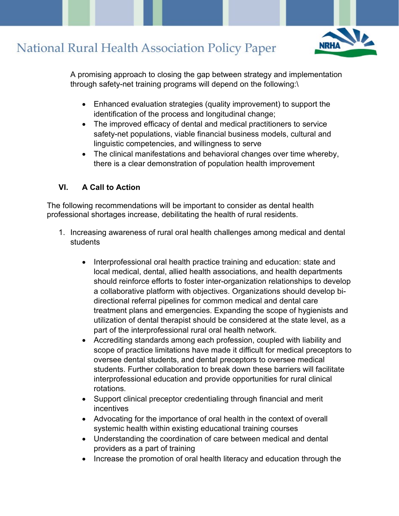

A promising approach to closing the gap between strategy and implementation through safety-net training programs will depend on the following:\

- Enhanced evaluation strategies (quality improvement) to support the identification of the process and longitudinal change;
- The improved efficacy of dental and medical practitioners to service safety-net populations, viable financial business models, cultural and linguistic competencies, and willingness to serve
- The clinical manifestations and behavioral changes over time whereby, there is a clear demonstration of population health improvement

### **VI. A Call to Action**

The following recommendations will be important to consider as dental health professional shortages increase, debilitating the health of rural residents.

- 1. Increasing awareness of rural oral health challenges among medical and dental students
	- Interprofessional oral health practice training and education: state and local medical, dental, allied health associations, and health departments should reinforce efforts to foster inter-organization relationships to develop a collaborative platform with objectives. Organizations should develop bidirectional referral pipelines for common medical and dental care treatment plans and emergencies. Expanding the scope of hygienists and utilization of dental therapist should be considered at the state level, as a part of the interprofessional rural oral health network.
	- Accrediting standards among each profession, coupled with liability and scope of practice limitations have made it difficult for medical preceptors to oversee dental students, and dental preceptors to oversee medical students. Further collaboration to break down these barriers will facilitate interprofessional education and provide opportunities for rural clinical rotations.
	- Support clinical preceptor credentialing through financial and merit incentives
	- Advocating for the importance of oral health in the context of overall systemic health within existing educational training courses
	- Understanding the coordination of care between medical and dental providers as a part of training
	- Increase the promotion of oral health literacy and education through the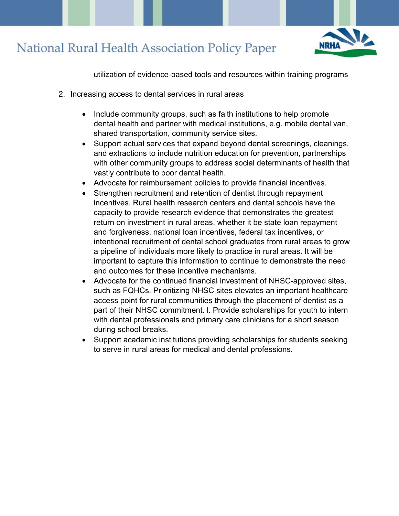

utilization of evidence-based tools and resources within training programs

- 2. Increasing access to dental services in rural areas
	- Include community groups, such as faith institutions to help promote dental health and partner with medical institutions, e.g. mobile dental van, shared transportation, community service sites.
	- Support actual services that expand beyond dental screenings, cleanings, and extractions to include nutrition education for prevention, partnerships with other community groups to address social determinants of health that vastly contribute to poor dental health.
	- Advocate for reimbursement policies to provide financial incentives.
	- Strengthen recruitment and retention of dentist through repayment incentives. Rural health research centers and dental schools have the capacity to provide research evidence that demonstrates the greatest return on investment in rural areas, whether it be state loan repayment and forgiveness, national loan incentives, federal tax incentives, or intentional recruitment of dental school graduates from rural areas to grow a pipeline of individuals more likely to practice in rural areas. It will be important to capture this information to continue to demonstrate the need and outcomes for these incentive mechanisms.
	- Advocate for the continued financial investment of NHSC-approved sites, such as FQHCs. Prioritizing NHSC sites elevates an important healthcare access point for rural communities through the placement of dentist as a part of their NHSC commitment. l. Provide scholarships for youth to intern with dental professionals and primary care clinicians for a short season during school breaks.
	- Support academic institutions providing scholarships for students seeking to serve in rural areas for medical and dental professions.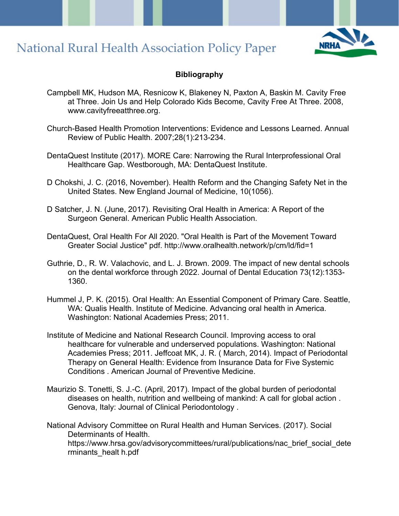

#### **Bibliography**

- Campbell MK, Hudson MA, Resnicow K, Blakeney N, Paxton A, Baskin M. Cavity Free at Three. Join Us and Help Colorado Kids Become, Cavity Free At Three. 2008, www.cavityfreeatthree.org.
- Church-Based Health Promotion Interventions: Evidence and Lessons Learned. Annual Review of Public Health. 2007;28(1):213-234.
- DentaQuest Institute (2017). MORE Care: Narrowing the Rural Interprofessional Oral Healthcare Gap. Westborough, MA: DentaQuest Institute.
- D Chokshi, J. C. (2016, November). Health Reform and the Changing Safety Net in the United States. New England Journal of Medicine, 10(1056).
- D Satcher, J. N. (June, 2017). Revisiting Oral Health in America: A Report of the Surgeon General. American Public Health Association.
- DentaQuest, Oral Health For All 2020. "Oral Health is Part of the Movement Toward Greater Social Justice" pdf. http://www.oralhealth.network/p/cm/ld/fid=1
- Guthrie, D., R. W. Valachovic, and L. J. Brown. 2009. The impact of new dental schools on the dental workforce through 2022. Journal of Dental Education 73(12):1353- 1360.
- Hummel J, P. K. (2015). Oral Health: An Essential Component of Primary Care. Seattle, WA: Qualis Health. Institute of Medicine. Advancing oral health in America. Washington: National Academies Press; 2011.
- Institute of Medicine and National Research Council. Improving access to oral healthcare for vulnerable and underserved populations. Washington: National Academies Press; 2011. Jeffcoat MK, J. R. ( March, 2014). Impact of Periodontal Therapy on General Health: Evidence from Insurance Data for Five Systemic Conditions . American Journal of Preventive Medicine.
- Maurizio S. Tonetti, S. J.-C. (April, 2017). Impact of the global burden of periodontal diseases on health, nutrition and wellbeing of mankind: A call for global action . Genova, Italy: Journal of Clinical Periodontology .
- National Advisory Committee on Rural Health and Human Services. (2017). Social Determinants of Health. https://www.hrsa.gov/advisorycommittees/rural/publications/nac\_brief\_social\_dete rminants\_healt h.pdf